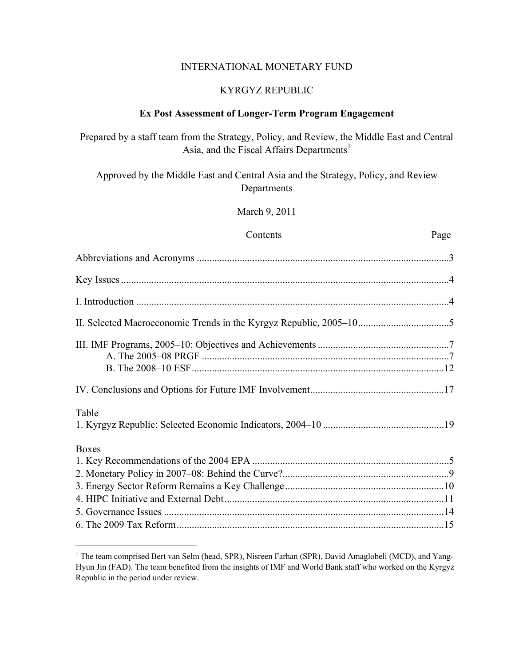#### INTERNATIONAL MONETARY FUND

## KYRGYZ REPUBLIC

## **Ex Post Assessment of Longer-Term Program Engagement**

Prepared by a staff team from the Strategy, Policy, and Review, the Middle East and Central Asia, and the Fiscal Affairs Departments<sup>1</sup>

Approved by the Middle East and Central Asia and the Strategy, Policy, and Review Departments

March 9, 2011

#### Contents Page

| Table        |  |
|--------------|--|
| <b>Boxes</b> |  |
|              |  |
|              |  |
|              |  |
|              |  |
|              |  |

<sup>&</sup>lt;sup>1</sup> The team comprised Bert van Selm (head, SPR), Nisreen Farhan (SPR), David Amaglobeli (MCD), and Yang-Hyun Jin (FAD). The team benefited from the insights of IMF and World Bank staff who worked on the Kyrgyz Republic in the period under review.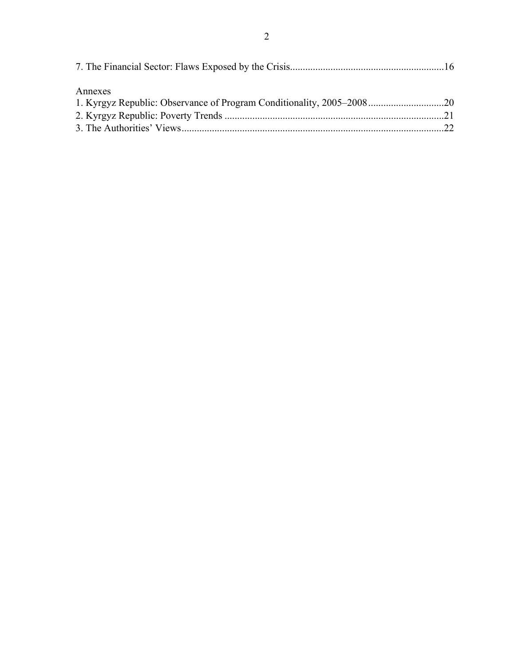| Annexes |  |
|---------|--|
|         |  |
|         |  |
|         |  |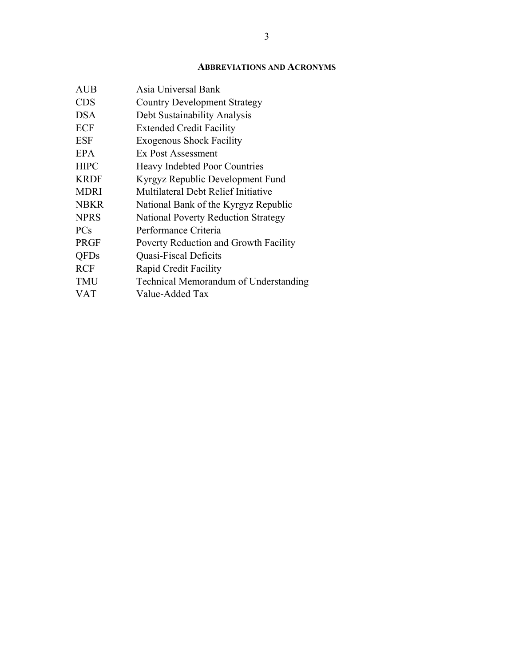## **ABBREVIATIONS AND ACRONYMS**

| Asia Universal Bank                        |
|--------------------------------------------|
| <b>Country Development Strategy</b>        |
| Debt Sustainability Analysis               |
| <b>Extended Credit Facility</b>            |
| <b>Exogenous Shock Facility</b>            |
| Ex Post Assessment                         |
| Heavy Indebted Poor Countries              |
| Kyrgyz Republic Development Fund           |
| Multilateral Debt Relief Initiative        |
| National Bank of the Kyrgyz Republic       |
| <b>National Poverty Reduction Strategy</b> |
| Performance Criteria                       |
| Poverty Reduction and Growth Facility      |
| Quasi-Fiscal Deficits                      |
| Rapid Credit Facility                      |
| Technical Memorandum of Understanding      |
| Value-Added Tax                            |
|                                            |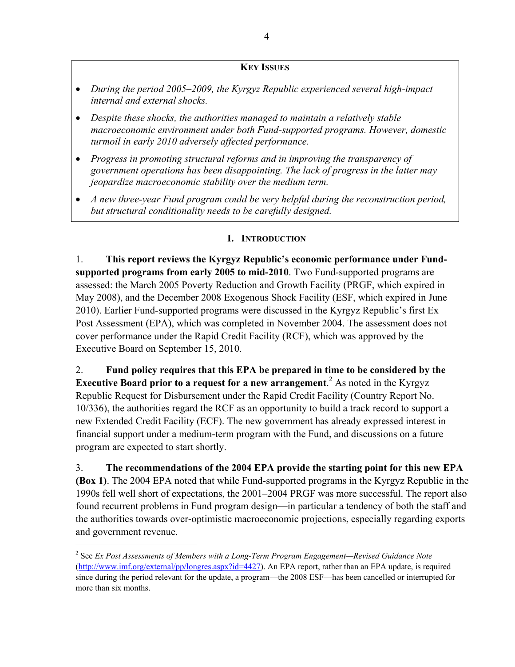## **KEY ISSUES**

- *During the period 2005–2009, the Kyrgyz Republic experienced several high-impact internal and external shocks.*
- *Despite these shocks, the authorities managed to maintain a relatively stable macroeconomic environment under both Fund-supported programs. However, domestic turmoil in early 2010 adversely affected performance.*
- *Progress in promoting structural reforms and in improving the transparency of government operations has been disappointing. The lack of progress in the latter may jeopardize macroeconomic stability over the medium term.*
- *A new three-year Fund program could be very helpful during the reconstruction period, but structural conditionality needs to be carefully designed.*

## **I. INTRODUCTION**

1. **This report reviews the Kyrgyz Republic's economic performance under Fundsupported programs from early 2005 to mid-2010**. Two Fund-supported programs are assessed: the March 2005 Poverty Reduction and Growth Facility (PRGF, which expired in May 2008), and the December 2008 Exogenous Shock Facility (ESF, which expired in June 2010). Earlier Fund-supported programs were discussed in the Kyrgyz Republic's first Ex Post Assessment (EPA), which was completed in November 2004. The assessment does not cover performance under the Rapid Credit Facility (RCF), which was approved by the Executive Board on September 15, 2010.

2. **Fund policy requires that this EPA be prepared in time to be considered by the Executive Board prior to a request for a new arrangement.** As noted in the Kyrgyz Republic Request for Disbursement under the Rapid Credit Facility (Country Report No. 10/336), the authorities regard the RCF as an opportunity to build a track record to support a new Extended Credit Facility (ECF). The new government has already expressed interest in financial support under a medium-term program with the Fund, and discussions on a future program are expected to start shortly.

3. **The recommendations of the 2004 EPA provide the starting point for this new EPA (Box 1)**. The 2004 EPA noted that while Fund-supported programs in the Kyrgyz Republic in the 1990s fell well short of expectations, the 2001–2004 PRGF was more successful. The report also found recurrent problems in Fund program design—in particular a tendency of both the staff and the authorities towards over-optimistic macroeconomic projections, especially regarding exports and government revenue.

 $\overline{a}$ 

<sup>2</sup> See *Ex Post Assessments of Members with a Long-Term Program Engagement—Revised Guidance Note* (http://www.imf.org/external/pp/longres.aspx?id=4427). An EPA report, rather than an EPA update, is required since during the period relevant for the update, a program—the 2008 ESF—has been cancelled or interrupted for more than six months.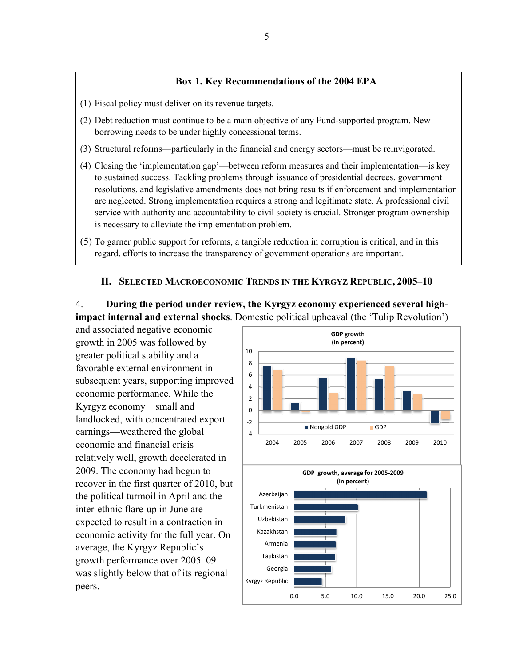### **Box 1. Key Recommendations of the 2004 EPA**

- (1) Fiscal policy must deliver on its revenue targets.
- (2) Debt reduction must continue to be a main objective of any Fund-supported program. New borrowing needs to be under highly concessional terms.
- (3) Structural reforms—particularly in the financial and energy sectors—must be reinvigorated.
- (4) Closing the 'implementation gap'—between reform measures and their implementation—is key to sustained success. Tackling problems through issuance of presidential decrees, government resolutions, and legislative amendments does not bring results if enforcement and implementation are neglected. Strong implementation requires a strong and legitimate state. A professional civil service with authority and accountability to civil society is crucial. Stronger program ownership is necessary to alleviate the implementation problem.
- (5) To garner public support for reforms, a tangible reduction in corruption is critical, and in this regard, efforts to increase the transparency of government operations are important.

#### **II. SELECTED MACROECONOMIC TRENDS IN THE KYRGYZ REPUBLIC, 2005–10**

4. **During the period under review, the Kyrgyz economy experienced several highimpact internal and external shocks**. Domestic political upheaval (the 'Tulip Revolution')

and associated negative economic growth in 2005 was followed by greater political stability and a favorable external environment in subsequent years, supporting improved economic performance. While the Kyrgyz economy—small and landlocked, with concentrated export earnings—weathered the global economic and financial crisis relatively well, growth decelerated in 2009. The economy had begun to recover in the first quarter of 2010, but the political turmoil in April and the inter-ethnic flare-up in June are expected to result in a contraction in economic activity for the full year. On average, the Kyrgyz Republic's growth performance over 2005–09 was slightly below that of its regional peers.

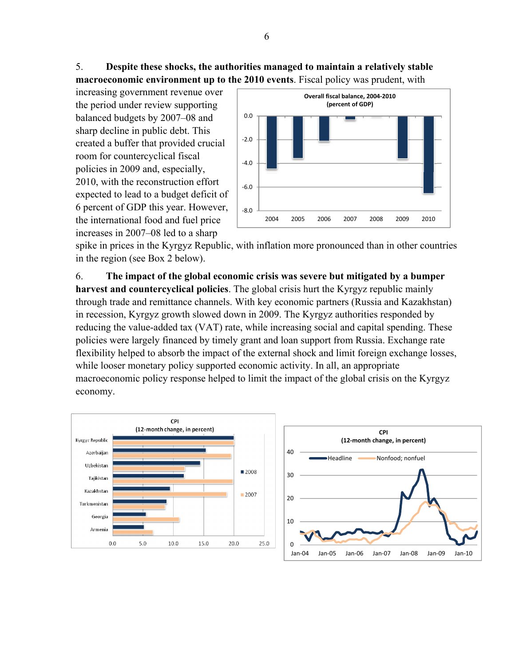## 5. **Despite these shocks, the authorities managed to maintain a relatively stable macroeconomic environment up to the 2010 events**. Fiscal policy was prudent, with

increasing government revenue over the period under review supporting balanced budgets by 2007–08 and sharp decline in public debt. This created a buffer that provided crucial room for countercyclical fiscal policies in 2009 and, especially, 2010, with the reconstruction effort expected to lead to a budget deficit of 6 percent of GDP this year. However, the international food and fuel price increases in 2007–08 led to a sharp



spike in prices in the Kyrgyz Republic, with inflation more pronounced than in other countries in the region (see Box 2 below).

6. **The impact of the global economic crisis was severe but mitigated by a bumper harvest and countercyclical policies**. The global crisis hurt the Kyrgyz republic mainly through trade and remittance channels. With key economic partners (Russia and Kazakhstan) in recession, Kyrgyz growth slowed down in 2009. The Kyrgyz authorities responded by reducing the value-added tax (VAT) rate, while increasing social and capital spending. These policies were largely financed by timely grant and loan support from Russia. Exchange rate flexibility helped to absorb the impact of the external shock and limit foreign exchange losses, while looser monetary policy supported economic activity. In all, an appropriate macroeconomic policy response helped to limit the impact of the global crisis on the Kyrgyz economy.



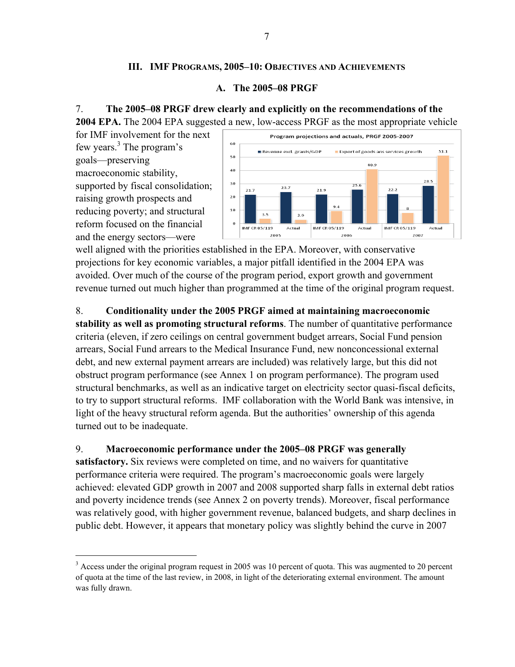## **III. IMF PROGRAMS, 2005–10: OBJECTIVES AND ACHIEVEMENTS**

## **A. The 2005–08 PRGF**

## 7. **The 2005–08 PRGF drew clearly and explicitly on the recommendations of the**

**2004 EPA.** The 2004 EPA suggested a new, low-access PRGF as the most appropriate vehicle

for IMF involvement for the next few years.<sup>3</sup> The program's goals—preserving macroeconomic stability, supported by fiscal consolidation; raising growth prospects and reducing poverty; and structural reform focused on the financial and the energy sectors—were

 $\overline{a}$ 



well aligned with the priorities established in the EPA. Moreover, with conservative projections for key economic variables, a major pitfall identified in the 2004 EPA was avoided. Over much of the course of the program period, export growth and government revenue turned out much higher than programmed at the time of the original program request.

8. **Conditionality under the 2005 PRGF aimed at maintaining macroeconomic** 

**stability as well as promoting structural reforms**. The number of quantitative performance criteria (eleven, if zero ceilings on central government budget arrears, Social Fund pension arrears, Social Fund arrears to the Medical Insurance Fund, new nonconcessional external debt, and new external payment arrears are included) was relatively large, but this did not obstruct program performance (see Annex 1 on program performance). The program used structural benchmarks, as well as an indicative target on electricity sector quasi-fiscal deficits, to try to support structural reforms. IMF collaboration with the World Bank was intensive, in light of the heavy structural reform agenda. But the authorities' ownership of this agenda turned out to be inadequate.

## 9. **Macroeconomic performance under the 2005–08 PRGF was generally**

**satisfactory.** Six reviews were completed on time, and no waivers for quantitative performance criteria were required. The program's macroeconomic goals were largely achieved: elevated GDP growth in 2007 and 2008 supported sharp falls in external debt ratios and poverty incidence trends (see Annex 2 on poverty trends). Moreover, fiscal performance was relatively good, with higher government revenue, balanced budgets, and sharp declines in public debt. However, it appears that monetary policy was slightly behind the curve in 2007

 $3$  Access under the original program request in 2005 was 10 percent of quota. This was augmented to 20 percent of quota at the time of the last review, in 2008, in light of the deteriorating external environment. The amount was fully drawn.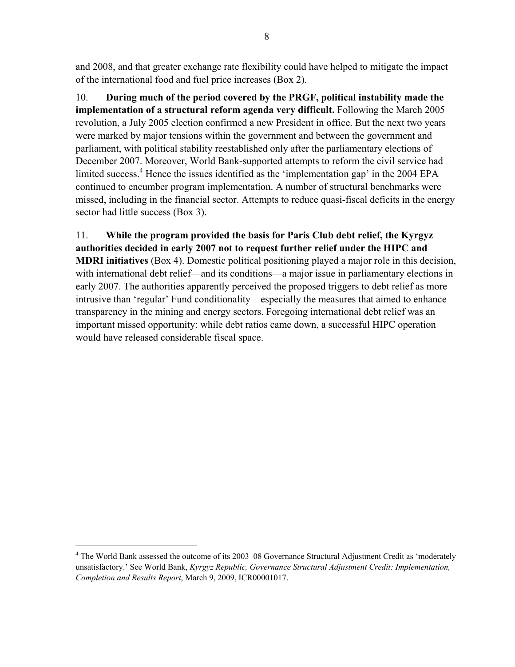and 2008, and that greater exchange rate flexibility could have helped to mitigate the impact of the international food and fuel price increases (Box 2).

10. **During much of the period covered by the PRGF, political instability made the implementation of a structural reform agenda very difficult.** Following the March 2005 revolution, a July 2005 election confirmed a new President in office. But the next two years were marked by major tensions within the government and between the government and parliament, with political stability reestablished only after the parliamentary elections of December 2007. Moreover, World Bank-supported attempts to reform the civil service had limited success.<sup>4</sup> Hence the issues identified as the 'implementation gap' in the 2004 EPA continued to encumber program implementation. A number of structural benchmarks were missed, including in the financial sector. Attempts to reduce quasi-fiscal deficits in the energy sector had little success (Box 3).

## 11. **While the program provided the basis for Paris Club debt relief, the Kyrgyz authorities decided in early 2007 not to request further relief under the HIPC and**

**MDRI initiatives** (Box 4). Domestic political positioning played a major role in this decision, with international debt relief—and its conditions—a major issue in parliamentary elections in early 2007. The authorities apparently perceived the proposed triggers to debt relief as more intrusive than 'regular' Fund conditionality—especially the measures that aimed to enhance transparency in the mining and energy sectors. Foregoing international debt relief was an important missed opportunity: while debt ratios came down, a successful HIPC operation would have released considerable fiscal space.

 $\overline{a}$ 

<sup>&</sup>lt;sup>4</sup> The World Bank assessed the outcome of its 2003–08 Governance Structural Adjustment Credit as 'moderately unsatisfactory.' See World Bank, *Kyrgyz Republic, Governance Structural Adjustment Credit: Implementation, Completion and Results Report*, March 9, 2009, ICR00001017.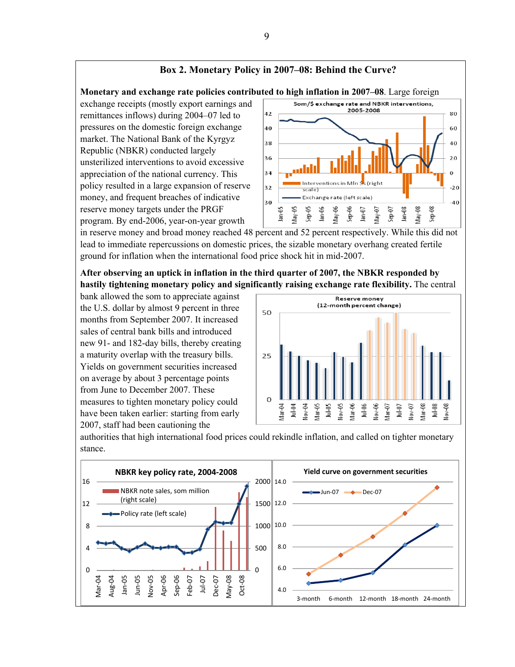#### **Box 2. Monetary Policy in 2007–08: Behind the Curve?**

**Monetary and exchange rate policies contributed to high inflation in 2007–08**. Large foreign

exchange receipts (mostly export earnings and remittances inflows) during 2004–07 led to pressures on the domestic foreign exchange market. The National Bank of the Kyrgyz Republic (NBKR) conducted largely unsterilized interventions to avoid excessive appreciation of the national currency. This policy resulted in a large expansion of reserve money, and frequent breaches of indicative reserve money targets under the PRGF program. By end-2006, year-on-year growth



in reserve money and broad money reached 48 percent and 52 percent respectively. While this did not lead to immediate repercussions on domestic prices, the sizable monetary overhang created fertile ground for inflation when the international food price shock hit in mid-2007.

**After observing an uptick in inflation in the third quarter of 2007, the NBKR responded by hastily tightening monetary policy and significantly raising exchange rate flexibility.** The central

bank allowed the som to appreciate against the U.S. dollar by almost 9 percent in three months from September 2007. It increased sales of central bank bills and introduced new 91- and 182-day bills, thereby creating a maturity overlap with the treasury bills. Yields on government securities increased on average by about 3 percentage points from June to December 2007. These measures to tighten monetary policy could have been taken earlier: starting from early 2007, staff had been cautioning the



authorities that high international food prices could rekindle inflation, and called on tighter monetary stance.

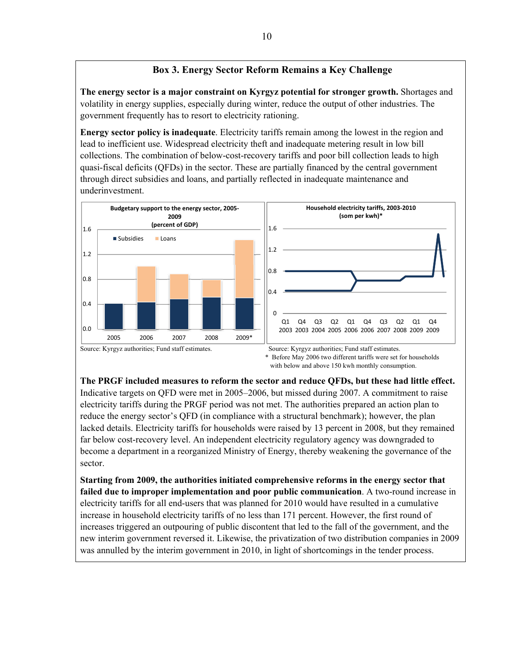## **Box 3. Energy Sector Reform Remains a Key Challenge**

**The energy sector is a major constraint on Kyrgyz potential for stronger growth.** Shortages and volatility in energy supplies, especially during winter, reduce the output of other industries. The government frequently has to resort to electricity rationing.

**Energy sector policy is inadequate**. Electricity tariffs remain among the lowest in the region and lead to inefficient use. Widespread electricity theft and inadequate metering result in low bill collections. The combination of below-cost-recovery tariffs and poor bill collection leads to high quasi-fiscal deficits (QFDs) in the sector. These are partially financed by the central government through direct subsidies and loans, and partially reflected in inadequate maintenance and underinvestment.



with below and above 150 kwh monthly consumption.

**The PRGF included measures to reform the sector and reduce QFDs, but these had little effect.**  Indicative targets on QFD were met in 2005–2006, but missed during 2007. A commitment to raise electricity tariffs during the PRGF period was not met. The authorities prepared an action plan to reduce the energy sector's QFD (in compliance with a structural benchmark); however, the plan lacked details. Electricity tariffs for households were raised by 13 percent in 2008, but they remained far below cost-recovery level. An independent electricity regulatory agency was downgraded to become a department in a reorganized Ministry of Energy, thereby weakening the governance of the sector.

**Starting from 2009, the authorities initiated comprehensive reforms in the energy sector that failed due to improper implementation and poor public communication**. A two-round increase in electricity tariffs for all end-users that was planned for 2010 would have resulted in a cumulative increase in household electricity tariffs of no less than 171 percent. However, the first round of increases triggered an outpouring of public discontent that led to the fall of the government, and the new interim government reversed it. Likewise, the privatization of two distribution companies in 2009 was annulled by the interim government in 2010, in light of shortcomings in the tender process.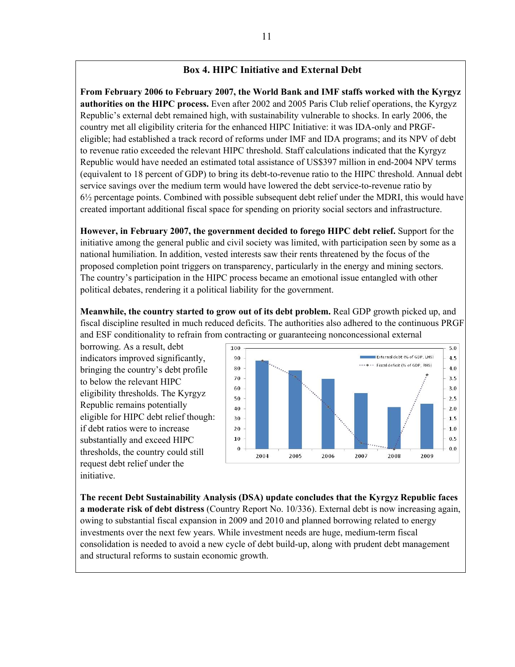## **Box 4. HIPC Initiative and External Debt**

**From February 2006 to February 2007, the World Bank and IMF staffs worked with the Kyrgyz authorities on the HIPC process.** Even after 2002 and 2005 Paris Club relief operations, the Kyrgyz Republic's external debt remained high, with sustainability vulnerable to shocks. In early 2006, the country met all eligibility criteria for the enhanced HIPC Initiative: it was IDA-only and PRGFeligible; had established a track record of reforms under IMF and IDA programs; and its NPV of debt to revenue ratio exceeded the relevant HIPC threshold. Staff calculations indicated that the Kyrgyz Republic would have needed an estimated total assistance of US\$397 million in end-2004 NPV terms (equivalent to 18 percent of GDP) to bring its debt-to-revenue ratio to the HIPC threshold. Annual debt service savings over the medium term would have lowered the debt service-to-revenue ratio by  $6\frac{1}{2}$  percentage points. Combined with possible subsequent debt relief under the MDRI, this would have created important additional fiscal space for spending on priority social sectors and infrastructure.

**However, in February 2007, the government decided to forego HIPC debt relief.** Support for the initiative among the general public and civil society was limited, with participation seen by some as a national humiliation. In addition, vested interests saw their rents threatened by the focus of the proposed completion point triggers on transparency, particularly in the energy and mining sectors. The country's participation in the HIPC process became an emotional issue entangled with other political debates, rendering it a political liability for the government.

**Meanwhile, the country started to grow out of its debt problem.** Real GDP growth picked up, and fiscal discipline resulted in much reduced deficits. The authorities also adhered to the continuous PRGF and ESF conditionality to refrain from contracting or guaranteeing nonconcessional external

borrowing. As a result, debt indicators improved significantly, bringing the country's debt profile to below the relevant HIPC eligibility thresholds. The Kyrgyz Republic remains potentially eligible for HIPC debt relief though: if debt ratios were to increase substantially and exceed HIPC thresholds, the country could still request debt relief under the initiative.



**The recent Debt Sustainability Analysis (DSA) update concludes that the Kyrgyz Republic faces a moderate risk of debt distress** (Country Report No. 10/336). External debt is now increasing again, owing to substantial fiscal expansion in 2009 and 2010 and planned borrowing related to energy investments over the next few years. While investment needs are huge, medium-term fiscal consolidation is needed to avoid a new cycle of debt build-up, along with prudent debt management and structural reforms to sustain economic growth.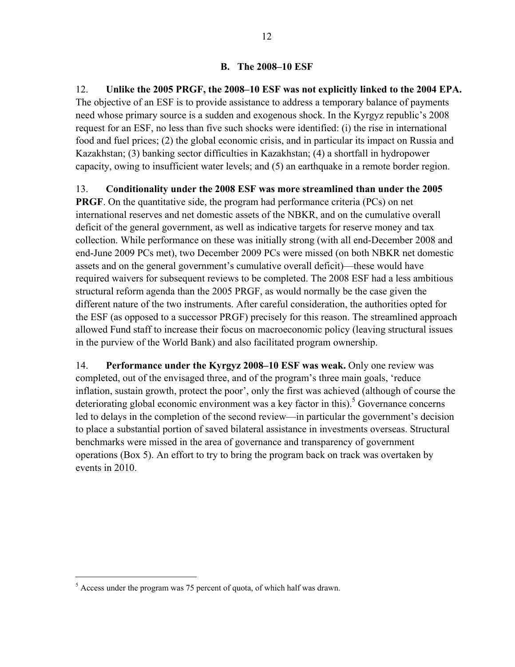## **B. The 2008–10 ESF**

12. **Unlike the 2005 PRGF, the 2008–10 ESF was not explicitly linked to the 2004 EPA.**  The objective of an ESF is to provide assistance to address a temporary balance of payments need whose primary source is a sudden and exogenous shock. In the Kyrgyz republic's 2008 request for an ESF, no less than five such shocks were identified: (i) the rise in international food and fuel prices; (2) the global economic crisis, and in particular its impact on Russia and Kazakhstan; (3) banking sector difficulties in Kazakhstan; (4) a shortfall in hydropower capacity, owing to insufficient water levels; and (5) an earthquake in a remote border region.

## 13. **Conditionality under the 2008 ESF was more streamlined than under the 2005**

**PRGF**. On the quantitative side, the program had performance criteria (PCs) on net international reserves and net domestic assets of the NBKR, and on the cumulative overall deficit of the general government, as well as indicative targets for reserve money and tax collection. While performance on these was initially strong (with all end-December 2008 and end-June 2009 PCs met), two December 2009 PCs were missed (on both NBKR net domestic assets and on the general government's cumulative overall deficit)—these would have required waivers for subsequent reviews to be completed. The 2008 ESF had a less ambitious structural reform agenda than the 2005 PRGF, as would normally be the case given the different nature of the two instruments. After careful consideration, the authorities opted for the ESF (as opposed to a successor PRGF) precisely for this reason. The streamlined approach allowed Fund staff to increase their focus on macroeconomic policy (leaving structural issues in the purview of the World Bank) and also facilitated program ownership.

14. **Performance under the Kyrgyz 2008–10 ESF was weak.** Only one review was completed, out of the envisaged three, and of the program's three main goals, 'reduce inflation, sustain growth, protect the poor', only the first was achieved (although of course the deteriorating global economic environment was a key factor in this).<sup>5</sup> Governance concerns led to delays in the completion of the second review—in particular the government's decision to place a substantial portion of saved bilateral assistance in investments overseas. Structural benchmarks were missed in the area of governance and transparency of government operations (Box 5). An effort to try to bring the program back on track was overtaken by events in 2010.

 $\overline{a}$ 

<sup>&</sup>lt;sup>5</sup> Access under the program was 75 percent of quota, of which half was drawn.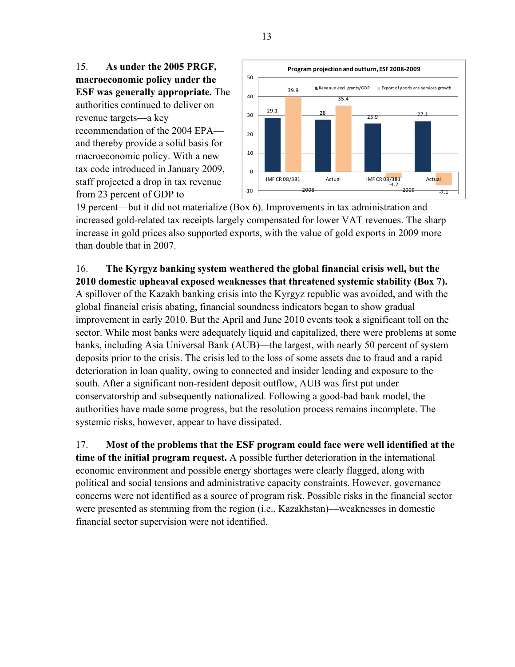15. **As under the 2005 PRGF, macroeconomic policy under the ESF was generally appropriate.** The authorities continued to deliver on revenue targets—a key recommendation of the 2004 EPA and thereby provide a solid basis for macroeconomic policy. With a new tax code introduced in January 2009, staff projected a drop in tax revenue from 23 percent of GDP to



19 percent—but it did not materialize (Box 6). Improvements in tax administration and increased gold-related tax receipts largely compensated for lower VAT revenues. The sharp increase in gold prices also supported exports, with the value of gold exports in 2009 more than double that in 2007.

## 16. **The Kyrgyz banking system weathered the global financial crisis well, but the 2010 domestic upheaval exposed weaknesses that threatened systemic stability (Box 7).**

A spillover of the Kazakh banking crisis into the Kyrgyz republic was avoided, and with the global financial crisis abating, financial soundness indicators began to show gradual improvement in early 2010. But the April and June 2010 events took a significant toll on the sector. While most banks were adequately liquid and capitalized, there were problems at some banks, including Asia Universal Bank (AUB)—the largest, with nearly 50 percent of system deposits prior to the crisis. The crisis led to the loss of some assets due to fraud and a rapid deterioration in loan quality, owing to connected and insider lending and exposure to the south. After a significant non-resident deposit outflow, AUB was first put under conservatorship and subsequently nationalized. Following a good-bad bank model, the authorities have made some progress, but the resolution process remains incomplete. The systemic risks, however, appear to have dissipated.

17. **Most of the problems that the ESF program could face were well identified at the time of the initial program request.** A possible further deterioration in the international economic environment and possible energy shortages were clearly flagged, along with political and social tensions and administrative capacity constraints. However, governance concerns were not identified as a source of program risk. Possible risks in the financial sector were presented as stemming from the region (i.e., Kazakhstan)—weaknesses in domestic financial sector supervision were not identified.

13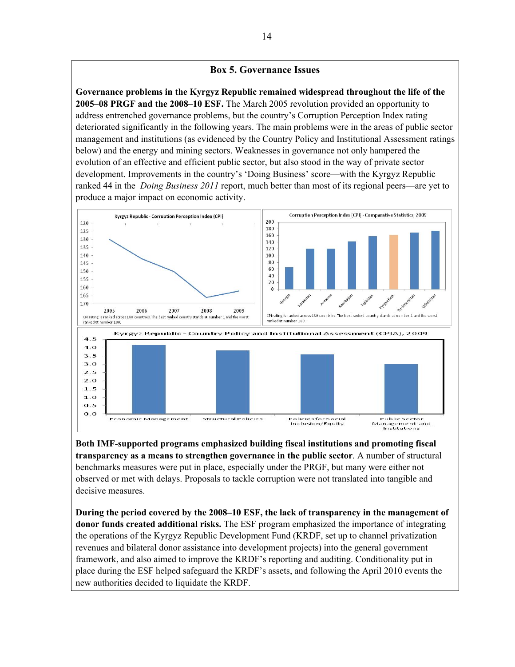#### **Box 5. Governance Issues**

**Governance problems in the Kyrgyz Republic remained widespread throughout the life of the 2005–08 PRGF and the 2008–10 ESF.** The March 2005 revolution provided an opportunity to address entrenched governance problems, but the country's Corruption Perception Index rating deteriorated significantly in the following years. The main problems were in the areas of public sector management and institutions (as evidenced by the Country Policy and Institutional Assessment ratings below) and the energy and mining sectors. Weaknesses in governance not only hampered the evolution of an effective and efficient public sector, but also stood in the way of private sector development. Improvements in the country's 'Doing Business' score—with the Kyrgyz Republic ranked 44 in the *Doing Business 2011* report, much better than most of its regional peers—are yet to produce a major impact on economic activity.



**Both IMF-supported programs emphasized building fiscal institutions and promoting fiscal transparency as a means to strengthen governance in the public sector**. A number of structural benchmarks measures were put in place, especially under the PRGF, but many were either not observed or met with delays. Proposals to tackle corruption were not translated into tangible and decisive measures.

**During the period covered by the 2008–10 ESF, the lack of transparency in the management of donor funds created additional risks.** The ESF program emphasized the importance of integrating the operations of the Kyrgyz Republic Development Fund (KRDF, set up to channel privatization revenues and bilateral donor assistance into development projects) into the general government framework, and also aimed to improve the KRDF's reporting and auditing. Conditionality put in place during the ESF helped safeguard the KRDF's assets, and following the April 2010 events the new authorities decided to liquidate the KRDF.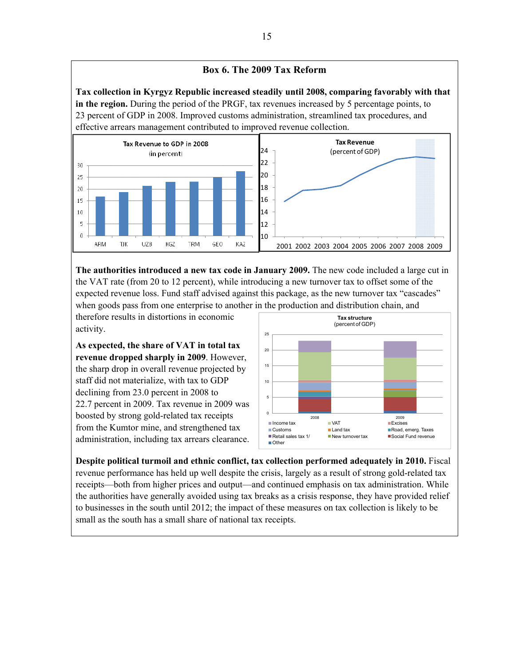



**The authorities introduced a new tax code in January 2009.** The new code included a large cut in the VAT rate (from 20 to 12 percent), while introducing a new turnover tax to offset some of the expected revenue loss. Fund staff advised against this package, as the new turnover tax "cascades" when goods pass from one enterprise to another in the production and distribution chain, and

therefore results in distortions in economic activity.

**As expected, the share of VAT in total tax revenue dropped sharply in 2009**. However, the sharp drop in overall revenue projected by staff did not materialize, with tax to GDP declining from 23.0 percent in 2008 to 22.7 percent in 2009. Tax revenue in 2009 was boosted by strong gold-related tax receipts from the Kumtor mine, and strengthened tax administration, including tax arrears clearance.



**Despite political turmoil and ethnic conflict, tax collection performed adequately in 2010.** Fiscal revenue performance has held up well despite the crisis, largely as a result of strong gold-related tax receipts—both from higher prices and output—and continued emphasis on tax administration. While the authorities have generally avoided using tax breaks as a crisis response, they have provided relief to businesses in the south until 2012; the impact of these measures on tax collection is likely to be small as the south has a small share of national tax receipts.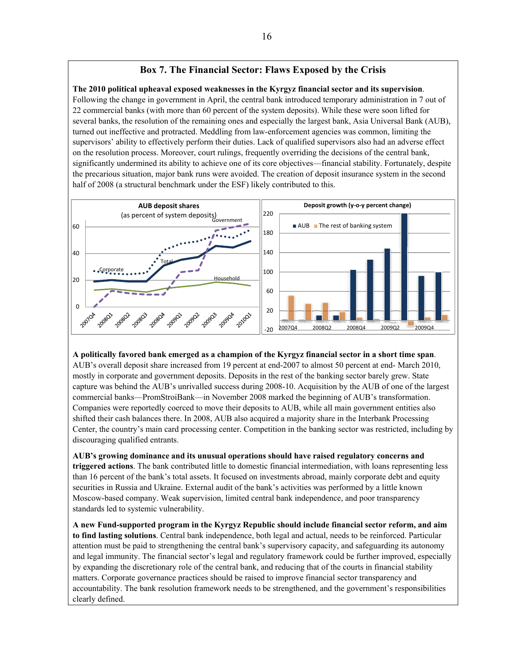## **Box 7. The Financial Sector: Flaws Exposed by the Crisis**

**The 2010 political upheaval exposed weaknesses in the Kyrgyz financial sector and its supervision**.

Following the change in government in April, the central bank introduced temporary administration in 7 out of 22 commercial banks (with more than 60 percent of the system deposits). While these were soon lifted for several banks, the resolution of the remaining ones and especially the largest bank, Asia Universal Bank (AUB), turned out ineffective and protracted. Meddling from law-enforcement agencies was common, limiting the supervisors' ability to effectively perform their duties. Lack of qualified supervisors also had an adverse effect on the resolution process. Moreover, court rulings, frequently overriding the decisions of the central bank, significantly undermined its ability to achieve one of its core objectives—financial stability. Fortunately, despite the precarious situation, major bank runs were avoided. The creation of deposit insurance system in the second half of 2008 (a structural benchmark under the ESF) likely contributed to this.



**A politically favored bank emerged as a champion of the Kyrgyz financial sector in a short time span**.

AUB's overall deposit share increased from 19 percent at end-2007 to almost 50 percent at end- March 2010, mostly in corporate and government deposits. Deposits in the rest of the banking sector barely grew. State capture was behind the AUB's unrivalled success during 2008-10. Acquisition by the AUB of one of the largest commercial banks—PromStroiBank—in November 2008 marked the beginning of AUB's transformation. Companies were reportedly coerced to move their deposits to AUB, while all main government entities also shifted their cash balances there. In 2008, AUB also acquired a majority share in the Interbank Processing Center, the country's main card processing center. Competition in the banking sector was restricted, including by discouraging qualified entrants.

**AUB's growing dominance and its unusual operations should have raised regulatory concerns and triggered actions**. The bank contributed little to domestic financial intermediation, with loans representing less than 16 percent of the bank's total assets. It focused on investments abroad, mainly corporate debt and equity securities in Russia and Ukraine. External audit of the bank's activities was performed by a little known Moscow-based company. Weak supervision, limited central bank independence, and poor transparency standards led to systemic vulnerability.

**A new Fund-supported program in the Kyrgyz Republic should include financial sector reform, and aim to find lasting solutions**. Central bank independence, both legal and actual, needs to be reinforced. Particular attention must be paid to strengthening the central bank's supervisory capacity, and safeguarding its autonomy and legal immunity. The financial sector's legal and regulatory framework could be further improved, especially by expanding the discretionary role of the central bank, and reducing that of the courts in financial stability matters. Corporate governance practices should be raised to improve financial sector transparency and accountability. The bank resolution framework needs to be strengthened, and the government's responsibilities clearly defined.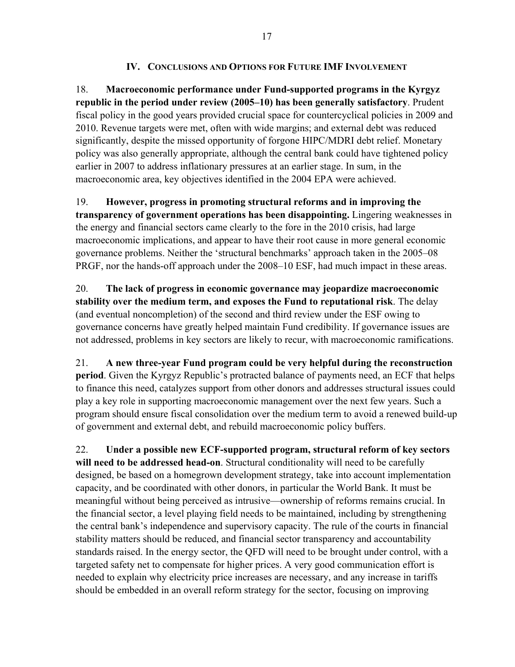## **IV. CONCLUSIONS AND OPTIONS FOR FUTURE IMF INVOLVEMENT**

18. **Macroeconomic performance under Fund-supported programs in the Kyrgyz republic in the period under review (2005–10) has been generally satisfactory**. Prudent fiscal policy in the good years provided crucial space for countercyclical policies in 2009 and 2010. Revenue targets were met, often with wide margins; and external debt was reduced significantly, despite the missed opportunity of forgone HIPC/MDRI debt relief. Monetary policy was also generally appropriate, although the central bank could have tightened policy earlier in 2007 to address inflationary pressures at an earlier stage. In sum, in the macroeconomic area, key objectives identified in the 2004 EPA were achieved.

19. **However, progress in promoting structural reforms and in improving the transparency of government operations has been disappointing.** Lingering weaknesses in the energy and financial sectors came clearly to the fore in the 2010 crisis, had large macroeconomic implications, and appear to have their root cause in more general economic governance problems. Neither the 'structural benchmarks' approach taken in the 2005–08 PRGF, nor the hands-off approach under the 2008–10 ESF, had much impact in these areas.

20. **The lack of progress in economic governance may jeopardize macroeconomic stability over the medium term, and exposes the Fund to reputational risk**. The delay (and eventual noncompletion) of the second and third review under the ESF owing to governance concerns have greatly helped maintain Fund credibility. If governance issues are not addressed, problems in key sectors are likely to recur, with macroeconomic ramifications.

21. **A new three-year Fund program could be very helpful during the reconstruction period**. Given the Kyrgyz Republic's protracted balance of payments need, an ECF that helps to finance this need, catalyzes support from other donors and addresses structural issues could play a key role in supporting macroeconomic management over the next few years. Such a program should ensure fiscal consolidation over the medium term to avoid a renewed build-up of government and external debt, and rebuild macroeconomic policy buffers.

22. **Under a possible new ECF-supported program, structural reform of key sectors will need to be addressed head-on**. Structural conditionality will need to be carefully designed, be based on a homegrown development strategy, take into account implementation capacity, and be coordinated with other donors, in particular the World Bank. It must be meaningful without being perceived as intrusive—ownership of reforms remains crucial. In the financial sector, a level playing field needs to be maintained, including by strengthening the central bank's independence and supervisory capacity. The rule of the courts in financial stability matters should be reduced, and financial sector transparency and accountability standards raised. In the energy sector, the QFD will need to be brought under control, with a targeted safety net to compensate for higher prices. A very good communication effort is needed to explain why electricity price increases are necessary, and any increase in tariffs should be embedded in an overall reform strategy for the sector, focusing on improving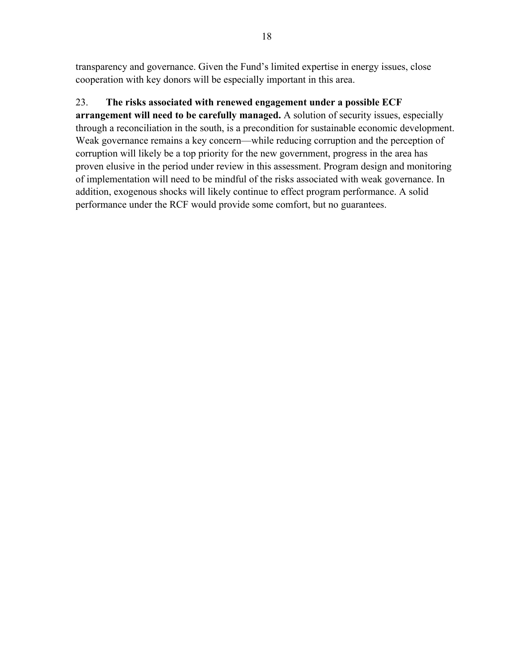transparency and governance. Given the Fund's limited expertise in energy issues, close cooperation with key donors will be especially important in this area.

## 23. **The risks associated with renewed engagement under a possible ECF**

**arrangement will need to be carefully managed.** A solution of security issues, especially through a reconciliation in the south, is a precondition for sustainable economic development. Weak governance remains a key concern—while reducing corruption and the perception of corruption will likely be a top priority for the new government, progress in the area has proven elusive in the period under review in this assessment. Program design and monitoring of implementation will need to be mindful of the risks associated with weak governance. In addition, exogenous shocks will likely continue to effect program performance. A solid performance under the RCF would provide some comfort, but no guarantees.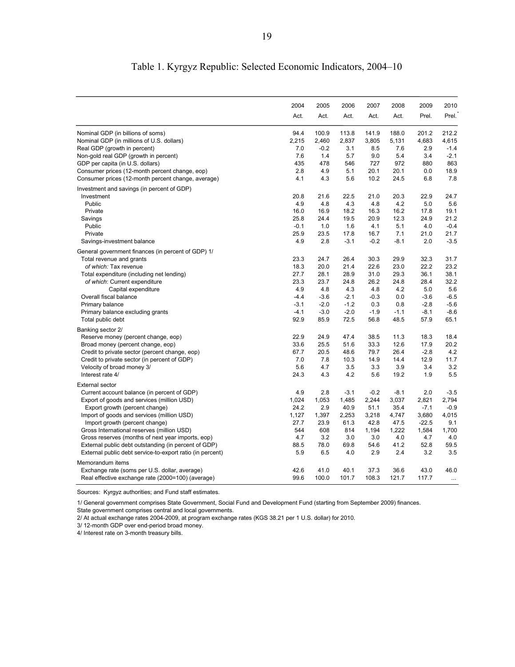|                                                                                                    | 2004   | 2005   | 2006          | 2007   | 2008   | 2009    | 2010     |
|----------------------------------------------------------------------------------------------------|--------|--------|---------------|--------|--------|---------|----------|
|                                                                                                    | Act.   | Act.   | Act.          | Act.   | Act.   | Prel.   | Prel.    |
| Nominal GDP (in billions of soms)                                                                  | 94.4   | 100.9  | 113.8         | 141.9  | 188.0  | 201.2   | 212.2    |
| Nominal GDP (in millions of U.S. dollars)                                                          | 2,215  | 2,460  | 2,837         | 3,805  | 5,131  | 4,683   | 4,615    |
| Real GDP (growth in percent)                                                                       | 7.0    | $-0.2$ | 3.1           | 8.5    | 7.6    | 2.9     | $-1.4$   |
| Non-gold real GDP (growth in percent)                                                              | 7.6    | 1.4    | 5.7           | 9.0    | 5.4    | 3.4     | $-2.1$   |
| GDP per capita (in U.S. dollars)                                                                   | 435    | 478    | 546           | 727    | 972    | 880     | 863      |
| Consumer prices (12-month percent change, eop)                                                     | 2.8    | 4.9    | 5.1           | 20.1   | 20.1   | 0.0     | 18.9     |
| Consumer prices (12-month percent change, average)                                                 | 4.1    | 4.3    | 5.6           | 10.2   | 24.5   | 6.8     | 7.8      |
| Investment and savings (in percent of GDP)                                                         |        |        |               |        |        |         |          |
| Investment                                                                                         | 20.8   | 21.6   | 22.5          | 21.0   | 20.3   | 22.9    | 24.7     |
| Public                                                                                             | 4.9    | 4.8    | 4.3           | 4.8    | 4.2    | 5.0     | 5.6      |
| Private                                                                                            | 16.0   | 16.9   | 18.2          | 16.3   | 16.2   | 17.8    | 19.1     |
| Savings                                                                                            | 25.8   | 24.4   | 19.5          | 20.9   | 12.3   | 24.9    | 21.2     |
| Public                                                                                             | $-0.1$ | 1.0    | 1.6           | 4.1    | 5.1    | 4.0     | $-0.4$   |
| Private                                                                                            | 25.9   | 23.5   | 17.8          | 16.7   | 7.1    | 21.0    | 21.7     |
| Savings-investment balance                                                                         | 4.9    | 2.8    | $-3.1$        | $-0.2$ | $-8.1$ | 2.0     | $-3.5$   |
| General government finances (in percent of GDP) 1/                                                 |        |        |               |        |        |         |          |
| Total revenue and grants                                                                           | 23.3   | 24.7   | 26.4          | 30.3   | 29.9   | 32.3    | 31.7     |
| of which: Tax revenue                                                                              | 18.3   | 20.0   | 21.4          | 22.6   | 23.0   | 22.2    | 23.2     |
| Total expenditure (including net lending)                                                          | 27.7   | 28.1   | 28.9          | 31.0   | 29.3   | 36.1    | 38.1     |
| of which: Current expenditure                                                                      | 23.3   | 23.7   | 24.8          | 26.2   | 24.8   | 28.4    | 32.2     |
| Capital expenditure                                                                                | 4.9    | 4.8    | 4.3           | 4.8    | 4.2    | 5.0     | 5.6      |
| Overall fiscal balance                                                                             | $-4.4$ | $-3.6$ | $-2.1$        | $-0.3$ | 0.0    | $-3.6$  | $-6.5$   |
| Primary balance                                                                                    | $-3.1$ | $-2.0$ | $-1.2$        | 0.3    | 0.8    | $-2.8$  | $-5.6$   |
| Primary balance excluding grants                                                                   | $-4.1$ | $-3.0$ | $-2.0$        | $-1.9$ | $-1.1$ | $-8.1$  | $-8.6$   |
| Total public debt                                                                                  | 92.9   | 85.9   | 72.5          | 56.8   | 48.5   | 57.9    | 65.1     |
| Banking sector 2/                                                                                  |        |        |               |        |        |         |          |
| Reserve money (percent change, eop)                                                                | 22.9   | 24.9   | 47.4          | 38.5   | 11.3   | 18.3    | 18.4     |
| Broad money (percent change, eop)                                                                  | 33.6   | 25.5   | 51.6          | 33.3   | 12.6   | 17.9    | 20.2     |
| Credit to private sector (percent change, eop)                                                     | 67.7   | 20.5   | 48.6          | 79.7   | 26.4   | $-2.8$  | 4.2      |
| Credit to private sector (in percent of GDP)                                                       | 7.0    | 7.8    | 10.3          | 14.9   | 14.4   | 12.9    | 11.7     |
| Velocity of broad money 3/                                                                         | 5.6    | 4.7    | 3.5           | 3.3    | 3.9    | 3.4     | 3.2      |
| Interest rate 4/                                                                                   | 24.3   | 4.3    | 4.2           | 5.6    | 19.2   | 1.9     | 5.5      |
| <b>External sector</b>                                                                             |        |        |               |        |        |         |          |
| Current account balance (in percent of GDP)                                                        | 4.9    | 2.8    | $-3.1$        | $-0.2$ | $-8.1$ | 2.0     | $-3.5$   |
| Export of goods and services (million USD)                                                         | 1,024  | 1,053  | 1,485         | 2,244  | 3,037  | 2,821   | 2,794    |
| Export growth (percent change)                                                                     | 24.2   | 2.9    | 40.9          | 51.1   | 35.4   | $-7.1$  | $-0.9$   |
| Import of goods and services (million USD)                                                         | 1,127  | 1,397  | 2,253         | 3,218  | 4,747  | 3,680   | 4,015    |
| Import growth (percent change)                                                                     | 27.7   | 23.9   | 61.3          | 42.8   | 47.5   | $-22.5$ | 9.1      |
| Gross International reserves (million USD)                                                         | 544    | 608    | 814           | 1,194  | 1,222  | 1,584   | 1,700    |
| Gross reserves (months of next year imports, eop)                                                  | 4.7    | 3.2    | 3.0           | 3.0    | 4.0    | 4.7     | 4.0      |
| External public debt outstanding (in percent of GDP)                                               | 88.5   | 78.0   | 69.8          | 54.6   | 41.2   | 52.8    | 59.5     |
| External public debt service-to-export ratio (in percent)                                          | 5.9    | 6.5    | 4.0           | 2.9    | 2.4    | 3.2     | 3.5      |
|                                                                                                    |        |        |               |        |        |         |          |
| Memorandum items                                                                                   | 42.6   | 41.0   |               | 37.3   | 36.6   | 43.0    | 46.0     |
| Exchange rate (soms per U.S. dollar, average)<br>Real effective exchange rate (2000=100) (average) | 99.6   | 100.0  | 40.1<br>101.7 | 108.3  | 121.7  | 117.7   |          |
|                                                                                                    |        |        |               |        |        |         | $\cdots$ |

# Table 1. Kyrgyz Republic: Selected Economic Indicators, 2004–10

Sources: Kyrgyz authorities; and Fund staff estimates.

1/ General government comprises State Government, Social Fund and Development Fund (starting from September 2009) finances. State government comprises central and local governments.

2/ At actual exchange rates 2004-2009, at program exchange rates (KGS 38.21 per 1 U.S. dollar) for 2010.

3/ 12-month GDP over end-period broad money.

4/ Interest rate on 3-month treasury bills.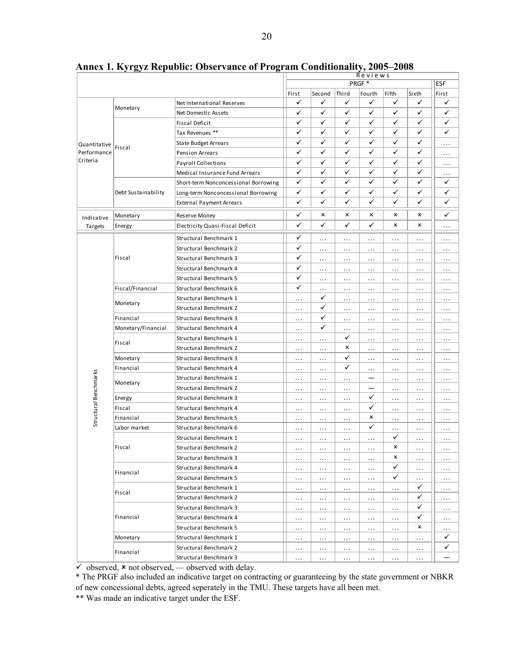|                                         |                     |                                      | Reviews  |          |          |          |              |              |              |
|-----------------------------------------|---------------------|--------------------------------------|----------|----------|----------|----------|--------------|--------------|--------------|
|                                         |                     |                                      | PRGF*    |          |          |          | <b>ESF</b>   |              |              |
|                                         |                     |                                      | First    | Second   | Third    | Fourth   | Fifth        | Sixth        | First        |
| Quantitative<br>Performance<br>Criteria | Monetary            | Net International Reserves           | ✓        | ✓        | ✓        | ✓        | ✓            | ✓            | ✓            |
|                                         |                     | Net Domestic Assets                  | ✓        | ✓        | ✓        | ✓        | ✓            | ✓            | ✓            |
|                                         |                     | Fiscal Deficit                       | ✓        | ✓        | ✓        | ✓        | ✓            | ✓            | ✓            |
|                                         | Fiscal              | Tax Revenues **                      | ✓        | ✓        | ✓        | ✓        | ✓            | ✓            | $\checkmark$ |
|                                         |                     | <b>State Budget Arrears</b>          | ✓        | ✓        | ✓        | ✓        | ✓            | ✓            | .            |
|                                         |                     | Pension Arrears                      | ✓        | ✓        | ✓        | ✓        | $\checkmark$ | ✓            | .            |
|                                         |                     | Payroll Collections                  | ✓        | ✓        | ✓        | ✓        | ✓            | $\checkmark$ | .            |
|                                         |                     | Medical Insurance Fund Arrears       | ✓        | ✓        | ✓        | ✓        | $\checkmark$ | ✓            | .            |
|                                         | Debt Sustainability | Short-term Nonconcessional Borrowing | ✓        | ✓        | ✓        | ✓        | ✓            | $\checkmark$ | ✓            |
|                                         |                     | Long-term Nonconcessional Borrowing  | ✓        | ✓        | ✓        | ✓        | ✓            | ✓            | ✓            |
|                                         |                     | <b>External Payment Arrears</b>      | ✓        | ✓        | ✓        | ✓        | ✓            | ✓            | ✓            |
| Indicative                              | Monetary            | Reserve Money                        | ✓        | x        | ×        | x        | ×            | ×            | ✓            |
| Targets                                 | Energy              | Electricity Quasi-Fiscal Deficit     | ✓        | ✓        | ✓        | ✓        | x            | ×            | .            |
|                                         |                     | Structural Benchmark 1               | ✓        | .        | .        | $\cdots$ | .            | .            | .            |
|                                         |                     | Structural Benchmark 2               | ✓        | .        | .        | $\cdots$ | .            | .            | .            |
|                                         | Fiscal              | Structural Benchmark 3               | ✓        | .        | .        | $\cdots$ | .            | .            | .            |
|                                         |                     | Structural Benchmark 4               | ✓        | .        | .        | $\cdots$ | .            | $\cdots$     | .            |
|                                         |                     | Structural Benchmark 5               | ✓        | .        | .        | $\cdots$ | .            | $\cdots$     | .            |
|                                         | Fiscal/Financial    | Structural Benchmark 6               | ✓        | .        |          |          |              |              |              |
|                                         |                     | Structural Benchmark 1               |          | ✓        | .        | .        | .            | $\cdots$     | .            |
|                                         | Monetary            | <b>Structural Benchmark 2</b>        | .        | ✓        | .        | .        | .            | $\cdots$     | .            |
|                                         |                     |                                      | .        | ✓        | .        | .        | .            | $\cdots$     | .            |
|                                         | Financial           | Structural Benchmark 3               | $\cdots$ | ✓        | .        | .        | .            | $\cdots$     | .            |
|                                         | Monetary/Financial  | Structural Benchmark 4               | .        |          | .<br>✓   | .        | .            | .            | .            |
|                                         | Fiscal              | Structural Benchmark 1               | .        | .        |          | .        | .            | .            | .            |
|                                         |                     | Structural Benchmark 2               | .        | .        | x        | .        | .            | .            | .            |
|                                         | Monetary            | Structural Benchmark 3               | .        | .        | ✓        | .        | .            | $\cdots$     | .            |
|                                         | Financial           | Structural Benchmark 4               | .        | .        | ✓        | .        | $\cdots$     | .            | .            |
|                                         | Monetary            | Structural Benchmark 1               | $\cdots$ | $\cdots$ | .        | —        | .            | .            | .            |
|                                         |                     | Structural Benchmark 2               | $\cdots$ | .        | .        |          | $\cdots$     | .            | .            |
|                                         | Energy              | Structural Benchmark 3               | $\cdots$ | .        | .        | ✓        | .            | .            | .            |
| Structural Benchmarks                   | Fiscal              | Structural Benchmark 4               | $\cdots$ | $\cdots$ | .        | ✓        | $\cdots$     | $\ldots$     | .            |
|                                         | Financial           | Structural Benchmark 5               | $\cdots$ | $\cdots$ | .        | x        | $\cdots$     | $\ldots$     | .            |
|                                         | Labor market        | Structural Benchmark 6               | $\cdots$ | $\cdots$ | $\cdots$ | ✓        | .            | $\ldots$     | .            |
|                                         |                     | Structural Benchmark 1               | $\cdots$ | $\cdots$ | .        | $\cdots$ | ✓            | .            | .            |
|                                         | Fiscal              | Structural Benchmark 2               | .        | .        | .        | .        | ×            | .            | .            |
|                                         |                     | Structural Benchmark 3               | $\ldots$ | $\cdots$ | $\ldots$ | $\cdots$ | x            | $\cdots$     | .            |
|                                         |                     | Structural Benchmark 4               | $\cdots$ | $\cdots$ | .        | $\cdots$ | ✓            | $\cdots$     | .            |
|                                         | Financial           | Structural Benchmark 5               | $\cdots$ | $\cdots$ | .        | $\cdots$ | ✓            | $\cdots$     | .            |
|                                         |                     | Structural Benchmark 1               | $\cdots$ | $\cdots$ | .        | $\cdots$ | .            | ✓            | .            |
|                                         | Fiscal              | Structural Benchmark 2               | $\cdots$ | $\cdots$ | .        | $\cdots$ | .            | $\checkmark$ | .            |
|                                         | Financial           | Structural Benchmark 3               | $\cdots$ | .        | .        | $\cdots$ | .            | $\checkmark$ | .            |
|                                         |                     | Structural Benchmark 4               | .        | $\cdots$ | .        | .        | .            | $\checkmark$ | .            |
|                                         |                     | Structural Benchmark 5               | $\ldots$ | .        | .        | $\cdots$ | .            | x            | .            |
|                                         | Monetary            | Structural Benchmark 1               | $\cdots$ | .        | .        | $\cdots$ | .            | .            | ✓            |
|                                         |                     | Structural Benchmark 2               | $\cdots$ | .        | .        | $\cdots$ | .            | .            | ✓            |
|                                         | Financial           | Structural Benchmark 3               | .        | .        | .        | $\cdots$ | .            | .            |              |
|                                         |                     |                                      |          |          |          |          |              |              |              |

**Annex 1. Kyrgyz Republic: Observance of Program Conditionality, 2005–2008** 

 $\checkmark$  observed,  $\star$  not observed, — observed with delay.

\* The PRGF also included an indicative target on contracting or guaranteeing by the state government or NBKR of new concessional debts, agreed seperately in the TMU. These targets have all been met.

\*\* Was made an indicative target under the ESF.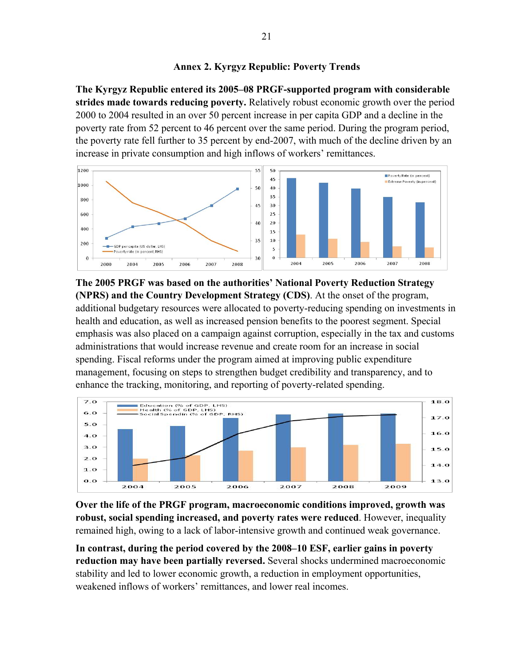## **Annex 2. Kyrgyz Republic: Poverty Trends**

**The Kyrgyz Republic entered its 2005–08 PRGF-supported program with considerable strides made towards reducing poverty.** Relatively robust economic growth over the period 2000 to 2004 resulted in an over 50 percent increase in per capita GDP and a decline in the poverty rate from 52 percent to 46 percent over the same period. During the program period, the poverty rate fell further to 35 percent by end-2007, with much of the decline driven by an increase in private consumption and high inflows of workers' remittances.



**The 2005 PRGF was based on the authorities' National Poverty Reduction Strategy (NPRS) and the Country Development Strategy (CDS)**. At the onset of the program, additional budgetary resources were allocated to poverty-reducing spending on investments in health and education, as well as increased pension benefits to the poorest segment. Special emphasis was also placed on a campaign against corruption, especially in the tax and customs administrations that would increase revenue and create room for an increase in social spending. Fiscal reforms under the program aimed at improving public expenditure management, focusing on steps to strengthen budget credibility and transparency, and to enhance the tracking, monitoring, and reporting of poverty-related spending.



**Over the life of the PRGF program, macroeconomic conditions improved, growth was robust, social spending increased, and poverty rates were reduced**. However, inequality remained high, owing to a lack of labor-intensive growth and continued weak governance.

**In contrast, during the period covered by the 2008–10 ESF, earlier gains in poverty reduction may have been partially reversed.** Several shocks undermined macroeconomic stability and led to lower economic growth, a reduction in employment opportunities, weakened inflows of workers' remittances, and lower real incomes.